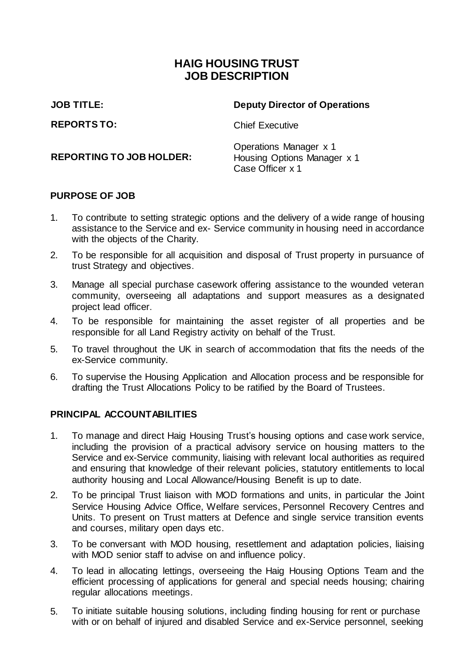## **HAIG HOUSING TRUST JOB DESCRIPTION**

**JOB TITLE: Deputy Director of Operations**

**REPORTS TO:** Chief Executive

**REPORTING TO JOB HOLDER:**

Operations Manager x 1 Housing Options Manager x 1 Case Officer x 1

### **PURPOSE OF JOB**

- 1. To contribute to setting strategic options and the delivery of a wide range of housing assistance to the Service and ex- Service community in housing need in accordance with the objects of the Charity.
- 2. To be responsible for all acquisition and disposal of Trust property in pursuance of trust Strategy and objectives.
- 3. Manage all special purchase casework offering assistance to the wounded veteran community, overseeing all adaptations and support measures as a designated project lead officer.
- 4. To be responsible for maintaining the asset register of all properties and be responsible for all Land Registry activity on behalf of the Trust.
- 5. To travel throughout the UK in search of accommodation that fits the needs of the ex-Service community.
- 6. To supervise the Housing Application and Allocation process and be responsible for drafting the Trust Allocations Policy to be ratified by the Board of Trustees.

#### **PRINCIPAL ACCOUNTABILITIES**

- 1. To manage and direct Haig Housing Trust's housing options and case work service, including the provision of a practical advisory service on housing matters to the Service and ex-Service community, liaising with relevant local authorities as required and ensuring that knowledge of their relevant policies, statutory entitlements to local authority housing and Local Allowance/Housing Benefit is up to date.
- 2. To be principal Trust liaison with MOD formations and units, in particular the Joint Service Housing Advice Office, Welfare services, Personnel Recovery Centres and Units. To present on Trust matters at Defence and single service transition events and courses, military open days etc.
- 3. To be conversant with MOD housing, resettlement and adaptation policies, liaising with MOD senior staff to advise on and influence policy.
- 4. To lead in allocating lettings, overseeing the Haig Housing Options Team and the efficient processing of applications for general and special needs housing; chairing regular allocations meetings.
- 5. To initiate suitable housing solutions, including finding housing for rent or purchase with or on behalf of injured and disabled Service and ex-Service personnel, seeking